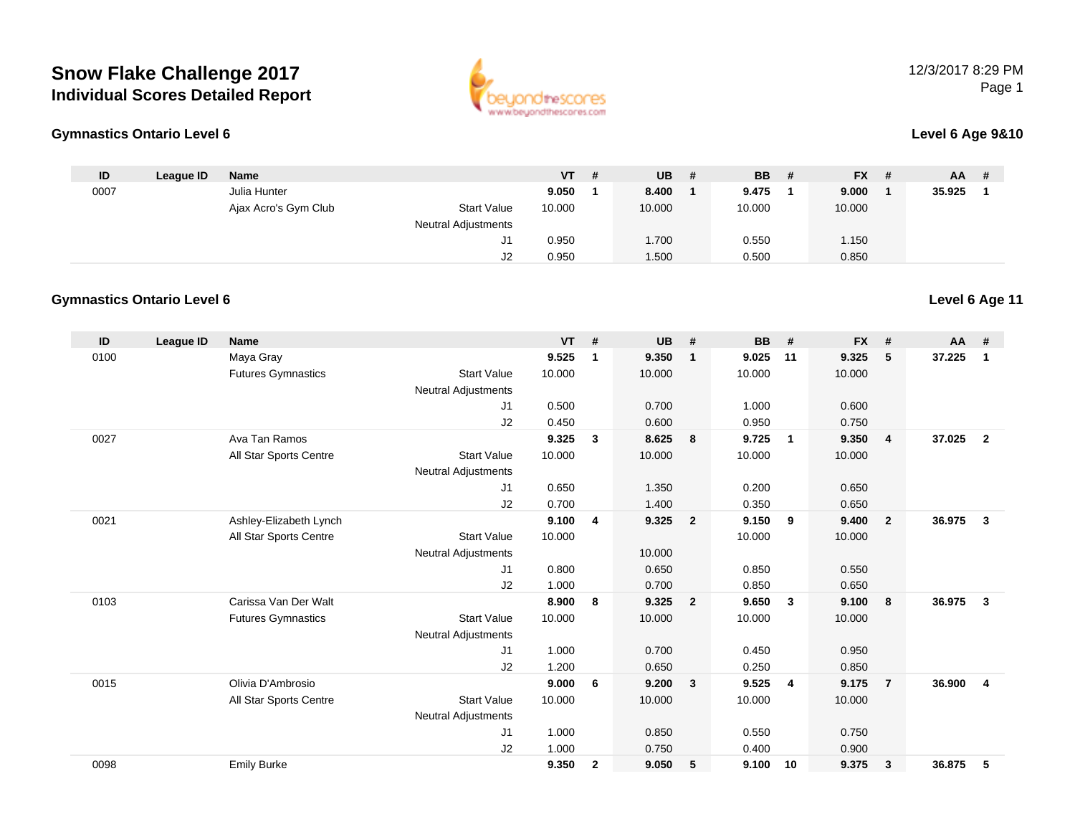



#### **Level 6 Age 9&10**

| ID   | League ID | <b>Name</b>          |                     | VT.    | # | <b>UB</b> | <b>BB</b> | - # | $FX$ # | <b>AA</b> | - # |
|------|-----------|----------------------|---------------------|--------|---|-----------|-----------|-----|--------|-----------|-----|
| 0007 |           | Julia Hunter         |                     | 9.050  |   | 8.400     | 9.475     |     | 9.000  | 35.925    |     |
|      |           | Ajax Acro's Gym Club | <b>Start Value</b>  | 10.000 |   | 10.000    | 10.000    |     | 10.000 |           |     |
|      |           |                      | Neutral Adjustments |        |   |           |           |     |        |           |     |
|      |           |                      | J1                  | 0.950  |   | 1.700     | 0.550     |     | 1.150  |           |     |
|      |           |                      | J2                  | 0.950  |   | 1.500     | 0.500     |     | 0.850  |           |     |

#### **Gymnastics Ontario Level 6**

**Gymnastics Ontario Level 6**

| ID   | League ID | <b>Name</b>               |                            | <b>VT</b> | #              | <b>UB</b> | #                       | <b>BB</b> | #                       | <b>FX</b> | #                       | AA #   |                |
|------|-----------|---------------------------|----------------------------|-----------|----------------|-----------|-------------------------|-----------|-------------------------|-----------|-------------------------|--------|----------------|
| 0100 |           | Maya Gray                 |                            | 9.525     | 1              | 9.350     | $\overline{1}$          | 9.025     | 11                      | 9.325     | 5                       | 37.225 | $\mathbf{1}$   |
|      |           | <b>Futures Gymnastics</b> | <b>Start Value</b>         | 10.000    |                | 10.000    |                         | 10.000    |                         | 10.000    |                         |        |                |
|      |           |                           | <b>Neutral Adjustments</b> |           |                |           |                         |           |                         |           |                         |        |                |
|      |           |                           | J1                         | 0.500     |                | 0.700     |                         | 1.000     |                         | 0.600     |                         |        |                |
|      |           |                           | J2                         | 0.450     |                | 0.600     |                         | 0.950     |                         | 0.750     |                         |        |                |
| 0027 |           | Ava Tan Ramos             |                            | 9.325     | $\mathbf{3}$   | 8.625     | 8                       | 9.725     | $\overline{\mathbf{1}}$ | 9.350     | $\overline{\mathbf{4}}$ | 37.025 | $\overline{2}$ |
|      |           | All Star Sports Centre    | <b>Start Value</b>         | 10.000    |                | 10.000    |                         | 10.000    |                         | 10.000    |                         |        |                |
|      |           |                           | <b>Neutral Adjustments</b> |           |                |           |                         |           |                         |           |                         |        |                |
|      |           |                           | J <sub>1</sub>             | 0.650     |                | 1.350     |                         | 0.200     |                         | 0.650     |                         |        |                |
|      |           |                           | J2                         | 0.700     |                | 1.400     |                         | 0.350     |                         | 0.650     |                         |        |                |
| 0021 |           | Ashley-Elizabeth Lynch    |                            | 9.100     | 4              | 9.325     | $\overline{\mathbf{2}}$ | 9.150     | 9                       | 9.400     | $\overline{2}$          | 36.975 | $\mathbf{3}$   |
|      |           | All Star Sports Centre    | <b>Start Value</b>         | 10.000    |                |           |                         | 10.000    |                         | 10.000    |                         |        |                |
|      |           |                           | <b>Neutral Adjustments</b> |           |                | 10.000    |                         |           |                         |           |                         |        |                |
|      |           |                           | J1                         | 0.800     |                | 0.650     |                         | 0.850     |                         | 0.550     |                         |        |                |
|      |           |                           | J2                         | 1.000     |                | 0.700     |                         | 0.850     |                         | 0.650     |                         |        |                |
| 0103 |           | Carissa Van Der Walt      |                            | 8.900     | 8              | 9.325     | $\overline{\mathbf{2}}$ | 9.650     | 3                       | 9.100     | 8                       | 36.975 | 3              |
|      |           | <b>Futures Gymnastics</b> | <b>Start Value</b>         | 10.000    |                | 10.000    |                         | 10.000    |                         | 10.000    |                         |        |                |
|      |           |                           | <b>Neutral Adjustments</b> |           |                |           |                         |           |                         |           |                         |        |                |
|      |           |                           | J1                         | 1.000     |                | 0.700     |                         | 0.450     |                         | 0.950     |                         |        |                |
|      |           |                           | J2                         | 1.200     |                | 0.650     |                         | 0.250     |                         | 0.850     |                         |        |                |
| 0015 |           | Olivia D'Ambrosio         |                            | 9.000     | 6              | 9.200     | $\overline{\mathbf{3}}$ | 9.525     | $\overline{4}$          | 9.175     | $\overline{7}$          | 36.900 | $\overline{4}$ |
|      |           | All Star Sports Centre    | <b>Start Value</b>         | 10.000    |                | 10.000    |                         | 10.000    |                         | 10.000    |                         |        |                |
|      |           |                           | <b>Neutral Adjustments</b> |           |                |           |                         |           |                         |           |                         |        |                |
|      |           |                           | J <sub>1</sub>             | 1.000     |                | 0.850     |                         | 0.550     |                         | 0.750     |                         |        |                |
|      |           |                           | J2                         | 1.000     |                | 0.750     |                         | 0.400     |                         | 0.900     |                         |        |                |
| 0098 |           | <b>Emily Burke</b>        |                            | 9.350     | $\overline{2}$ | 9.050     | 5                       | 9.100     | 10                      | 9.375     | 3                       | 36.875 | 5              |
|      |           |                           |                            |           |                |           |                         |           |                         |           |                         |        |                |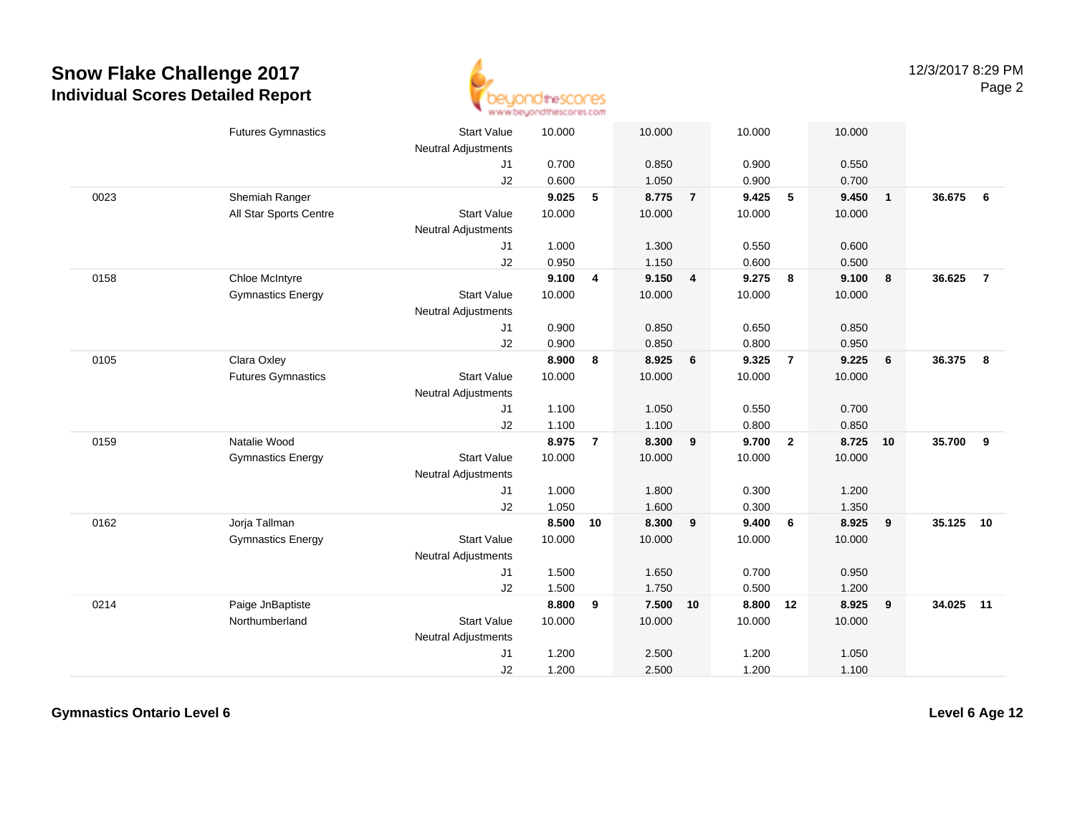

|      | <b>Futures Gymnastics</b> | <b>Start Value</b><br><b>Neutral Adjustments</b> | 10.000 |                         | 10.000   |                | 10.000   |                         | 10.000 |                         |        |                |
|------|---------------------------|--------------------------------------------------|--------|-------------------------|----------|----------------|----------|-------------------------|--------|-------------------------|--------|----------------|
|      |                           | J1                                               | 0.700  |                         | 0.850    |                | 0.900    |                         | 0.550  |                         |        |                |
|      |                           | J2                                               | 0.600  |                         | 1.050    |                | 0.900    |                         | 0.700  |                         |        |                |
| 0023 | Shemiah Ranger            |                                                  | 9.025  | 5                       | 8.775    | $\overline{7}$ | 9.425    | 5                       | 9.450  | $\overline{\mathbf{1}}$ | 36.675 | 6              |
|      | All Star Sports Centre    | <b>Start Value</b>                               | 10.000 |                         | 10.000   |                | 10.000   |                         | 10.000 |                         |        |                |
|      |                           | <b>Neutral Adjustments</b>                       |        |                         |          |                |          |                         |        |                         |        |                |
|      |                           | J1                                               | 1.000  |                         | 1.300    |                | 0.550    |                         | 0.600  |                         |        |                |
|      |                           | J2                                               | 0.950  |                         | 1.150    |                | 0.600    |                         | 0.500  |                         |        |                |
| 0158 | Chloe McIntyre            |                                                  | 9.100  | $\overline{\mathbf{4}}$ | 9.150 4  |                | 9.275    | $\overline{\mathbf{8}}$ | 9.100  | 8                       | 36.625 | $\overline{7}$ |
|      | <b>Gymnastics Energy</b>  | <b>Start Value</b>                               | 10.000 |                         | 10.000   |                | 10.000   |                         | 10.000 |                         |        |                |
|      |                           | Neutral Adjustments                              |        |                         |          |                |          |                         |        |                         |        |                |
|      |                           | J1                                               | 0.900  |                         | 0.850    |                | 0.650    |                         | 0.850  |                         |        |                |
|      |                           | J2                                               | 0.900  |                         | 0.850    |                | 0.800    |                         | 0.950  |                         |        |                |
| 0105 | Clara Oxley               |                                                  | 8.900  | 8                       | 8.925    | 6              | 9.325    | $\overline{7}$          | 9.225  | 6                       | 36.375 | 8              |
|      | <b>Futures Gymnastics</b> | <b>Start Value</b>                               | 10.000 |                         | 10.000   |                | 10.000   |                         | 10.000 |                         |        |                |
|      |                           | Neutral Adjustments                              |        |                         |          |                |          |                         |        |                         |        |                |
|      |                           | J1                                               | 1.100  |                         | 1.050    |                | 0.550    |                         | 0.700  |                         |        |                |
|      |                           | J2                                               | 1.100  |                         | 1.100    |                | 0.800    |                         | 0.850  |                         |        |                |
| 0159 | Natalie Wood              |                                                  | 8.975  | $\overline{7}$          | 8.300    | 9              | 9.700    | $\overline{2}$          | 8.725  | 10                      | 35.700 | 9              |
|      | <b>Gymnastics Energy</b>  | <b>Start Value</b>                               | 10.000 |                         | 10.000   |                | 10.000   |                         | 10.000 |                         |        |                |
|      |                           | Neutral Adjustments                              |        |                         |          |                |          |                         |        |                         |        |                |
|      |                           | J1                                               | 1.000  |                         | 1.800    |                | 0.300    |                         | 1.200  |                         |        |                |
|      |                           | J2                                               | 1.050  |                         | 1.600    |                | 0.300    |                         | 1.350  |                         |        |                |
| 0162 | Jorja Tallman             |                                                  | 8.500  | 10                      | 8.300    | 9              | 9.400    | 6                       | 8.925  | 9                       | 35.125 | 10             |
|      | <b>Gymnastics Energy</b>  | <b>Start Value</b>                               | 10.000 |                         | 10.000   |                | 10.000   |                         | 10.000 |                         |        |                |
|      |                           | <b>Neutral Adjustments</b>                       |        |                         |          |                |          |                         |        |                         |        |                |
|      |                           | J1                                               | 1.500  |                         | 1.650    |                | 0.700    |                         | 0.950  |                         |        |                |
|      |                           | J2                                               | 1.500  |                         | 1.750    |                | 0.500    |                         | 1.200  |                         |        |                |
| 0214 | Paige JnBaptiste          |                                                  | 8.800  | 9                       | 7.500 10 |                | 8.800 12 |                         | 8.925  | 9                       | 34.025 | 11             |
|      | Northumberland            | <b>Start Value</b>                               | 10.000 |                         | 10.000   |                | 10.000   |                         | 10.000 |                         |        |                |
|      |                           | <b>Neutral Adjustments</b>                       |        |                         |          |                |          |                         |        |                         |        |                |
|      |                           | J1                                               | 1.200  |                         | 2.500    |                | 1.200    |                         | 1.050  |                         |        |                |
|      |                           | J2                                               | 1.200  |                         | 2.500    |                | 1.200    |                         | 1.100  |                         |        |                |

**Gymnastics Ontario Level 6**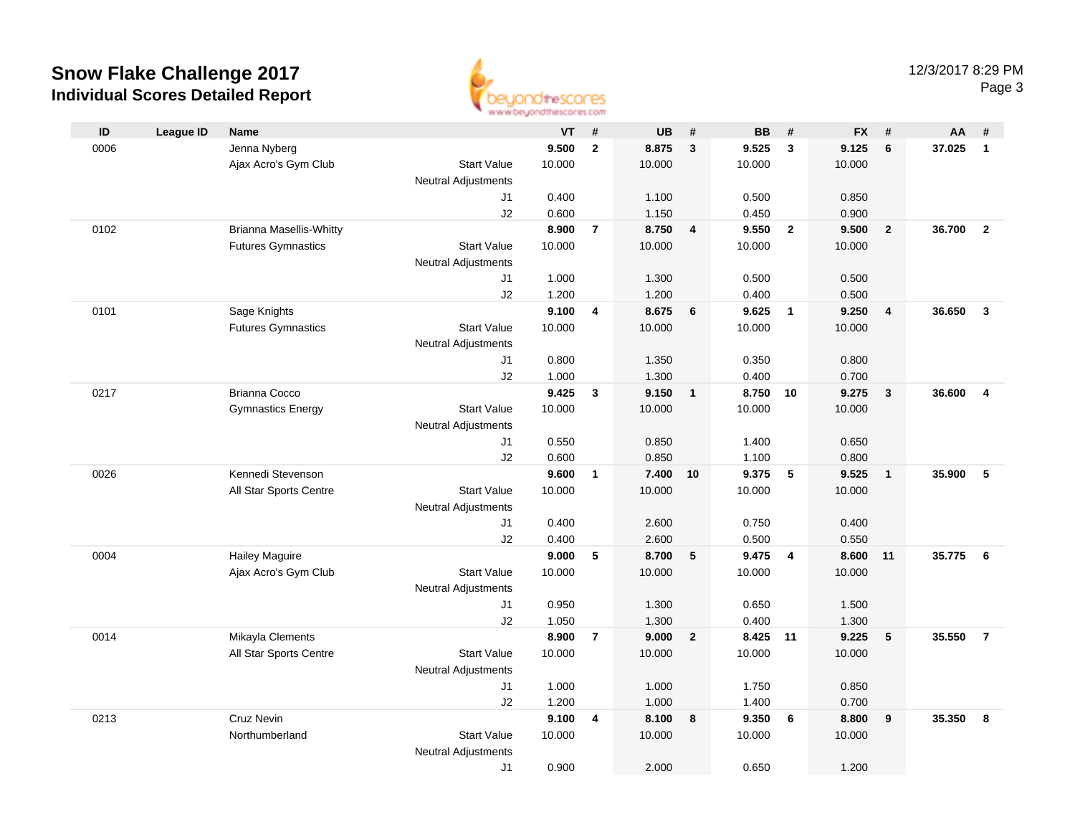

|      |                  |                                |                                  | an an aaronadhuu uman sinast |                |           |                         |           |                         |           |                         |        |                |
|------|------------------|--------------------------------|----------------------------------|------------------------------|----------------|-----------|-------------------------|-----------|-------------------------|-----------|-------------------------|--------|----------------|
| ID   | <b>League ID</b> | Name                           |                                  | VT                           | #              | <b>UB</b> | #                       | <b>BB</b> | #                       | <b>FX</b> | #                       | AA     | #              |
| 0006 |                  | Jenna Nyberg                   |                                  | 9.500                        | $\mathbf{2}$   | 8.875     | $\overline{\mathbf{3}}$ | 9.525     | $\mathbf{3}$            | 9.125     | $6\phantom{1}6$         | 37.025 | $\mathbf{1}$   |
|      |                  | Ajax Acro's Gym Club           | <b>Start Value</b>               | 10.000                       |                | 10.000    |                         | 10.000    |                         | 10.000    |                         |        |                |
|      |                  |                                | <b>Neutral Adjustments</b>       |                              |                |           |                         |           |                         |           |                         |        |                |
|      |                  |                                | J1                               | 0.400                        |                | 1.100     |                         | 0.500     |                         | 0.850     |                         |        |                |
|      |                  |                                | J2                               | 0.600                        |                | 1.150     |                         | 0.450     |                         | 0.900     |                         |        |                |
| 0102 |                  | <b>Brianna Masellis-Whitty</b> |                                  | 8.900                        | $\overline{7}$ | 8.750     | $\overline{\mathbf{4}}$ | 9.550     | $\overline{2}$          | 9.500     | $\overline{2}$          | 36.700 | $\overline{2}$ |
|      |                  | <b>Futures Gymnastics</b>      | <b>Start Value</b>               | 10.000                       |                | 10.000    |                         | 10.000    |                         | 10.000    |                         |        |                |
|      |                  |                                | <b>Neutral Adjustments</b>       |                              |                |           |                         |           |                         |           |                         |        |                |
|      |                  |                                | J1                               | 1.000                        |                | 1.300     |                         | 0.500     |                         | 0.500     |                         |        |                |
|      |                  |                                | J2                               | 1.200                        |                | 1.200     |                         | 0.400     |                         | 0.500     |                         |        |                |
| 0101 |                  | Sage Knights                   |                                  | 9.100                        | 4              | 8.675     | 6                       | 9.625     | $\overline{\mathbf{1}}$ | 9.250     | $\overline{\mathbf{4}}$ | 36.650 | $\mathbf{3}$   |
|      |                  | <b>Futures Gymnastics</b>      | <b>Start Value</b>               | 10.000                       |                | 10.000    |                         | 10.000    |                         | 10.000    |                         |        |                |
|      |                  |                                | Neutral Adjustments              |                              |                |           |                         |           |                         |           |                         |        |                |
|      |                  |                                | J1                               | 0.800                        |                | 1.350     |                         | 0.350     |                         | 0.800     |                         |        |                |
|      |                  |                                | J2                               | 1.000                        |                | 1.300     |                         | 0.400     |                         | 0.700     |                         |        |                |
| 0217 |                  | <b>Brianna Cocco</b>           |                                  | 9.425                        | $\mathbf{3}$   | 9.150     | $\overline{1}$          | 8.750 10  |                         | 9.275     | $\overline{\mathbf{3}}$ | 36,600 | $\overline{4}$ |
|      |                  | <b>Gymnastics Energy</b>       | <b>Start Value</b>               | 10.000                       |                | 10.000    |                         | 10.000    |                         | 10.000    |                         |        |                |
|      |                  |                                | <b>Neutral Adjustments</b>       |                              |                |           |                         |           |                         |           |                         |        |                |
|      |                  |                                | J1                               | 0.550                        |                | 0.850     |                         | 1.400     |                         | 0.650     |                         |        |                |
|      |                  |                                | J2                               | 0.600                        |                | 0.850     |                         | 1.100     |                         | 0.800     |                         |        |                |
| 0026 |                  | Kennedi Stevenson              |                                  | 9.600                        | $\mathbf{1}$   | 7.400     | 10                      | 9.375     | 5                       | 9.525     | $\overline{1}$          | 35.900 | 5              |
|      |                  | All Star Sports Centre         | <b>Start Value</b>               | 10.000                       |                | 10.000    |                         | 10.000    |                         | 10.000    |                         |        |                |
|      |                  |                                | <b>Neutral Adjustments</b>       |                              |                |           |                         |           |                         |           |                         |        |                |
|      |                  |                                | J1                               | 0.400                        |                | 2.600     |                         | 0.750     |                         | 0.400     |                         |        |                |
|      |                  |                                | J2                               | 0.400                        |                | 2.600     |                         | 0.500     |                         | 0.550     |                         |        |                |
| 0004 |                  | <b>Hailey Maguire</b>          |                                  | 9.000                        | 5              | 8.700     | $-5$                    | 9.475     | $\overline{4}$          | 8.600     | 11                      | 35.775 | 6              |
|      |                  | Ajax Acro's Gym Club           | <b>Start Value</b>               | 10.000                       |                | 10.000    |                         | 10.000    |                         | 10.000    |                         |        |                |
|      |                  |                                | <b>Neutral Adjustments</b>       |                              |                |           |                         |           |                         |           |                         |        |                |
|      |                  |                                | J1                               | 0.950                        |                | 1.300     |                         | 0.650     |                         | 1.500     |                         |        |                |
|      |                  |                                | J2                               | 1.050                        |                | 1.300     |                         | 0.400     |                         | 1.300     |                         |        |                |
| 0014 |                  | Mikayla Clements               |                                  | 8.900                        | $\overline{7}$ | 9.000     | $\overline{2}$          | 8.425     | $-11$                   | 9.225     | 5                       | 35.550 | $\overline{7}$ |
|      |                  | All Star Sports Centre         | <b>Start Value</b>               | 10.000                       |                | 10.000    |                         | 10.000    |                         | 10.000    |                         |        |                |
|      |                  |                                | <b>Neutral Adjustments</b>       | 1.000                        |                | 1.000     |                         | 1.750     |                         | 0.850     |                         |        |                |
|      |                  |                                | J1<br>J2                         | 1.200                        |                | 1.000     |                         | 1.400     |                         | 0.700     |                         |        |                |
| 0213 |                  | Cruz Nevin                     |                                  | 9.100                        |                | 8.100     |                         | 9.350     | 6                       | 8.800     |                         | 35.350 | 8              |
|      |                  | Northumberland                 | <b>Start Value</b>               | 10.000                       | 4              | 10.000    | 8                       | 10.000    |                         | 10.000    | $\boldsymbol{9}$        |        |                |
|      |                  |                                |                                  |                              |                |           |                         |           |                         |           |                         |        |                |
|      |                  |                                | <b>Neutral Adjustments</b><br>J1 | 0.900                        |                | 2.000     |                         | 0.650     |                         | 1.200     |                         |        |                |
|      |                  |                                |                                  |                              |                |           |                         |           |                         |           |                         |        |                |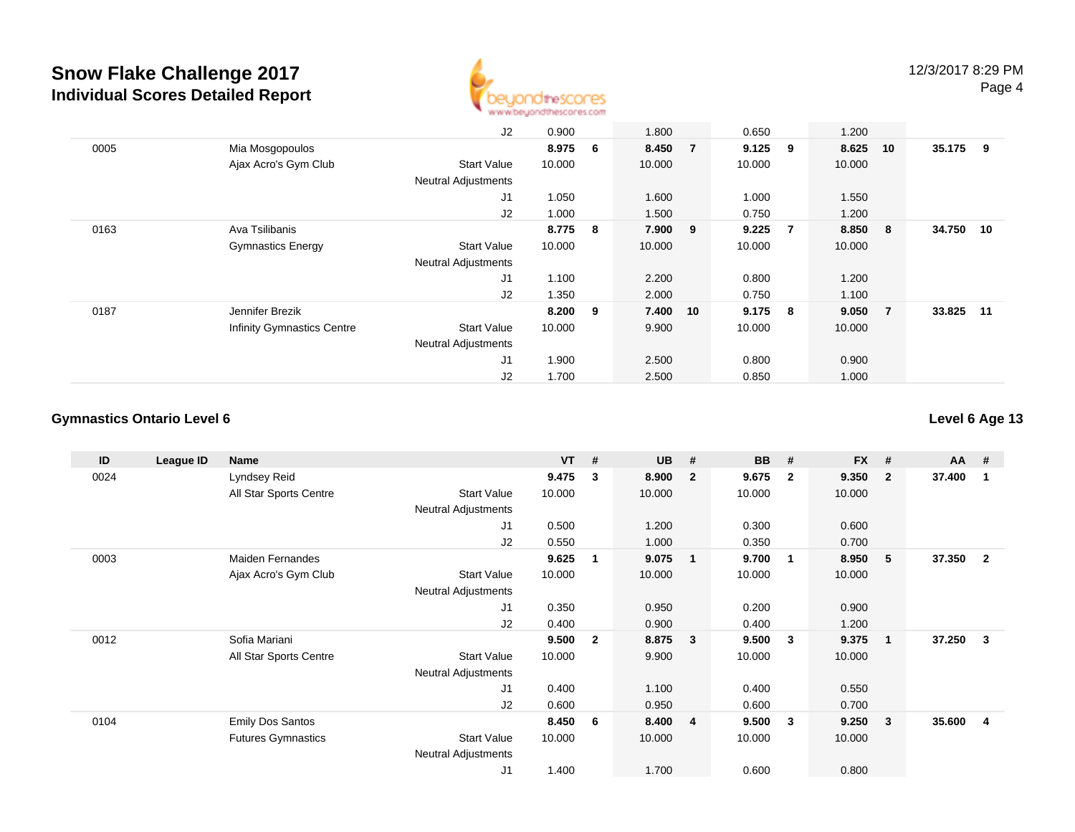

|      |                                   | J2                         | 0.900     |   | 1.800    |                | 0.650     |   | 1.200    |                |           |  |
|------|-----------------------------------|----------------------------|-----------|---|----------|----------------|-----------|---|----------|----------------|-----------|--|
| 0005 | Mia Mosgopoulos                   |                            | 8.975     | 6 | 8.450    | $\overline{7}$ | $9.125$ 9 |   | 8.625 10 |                | 35.175 9  |  |
|      | Ajax Acro's Gym Club              | <b>Start Value</b>         | 10.000    |   | 10.000   |                | 10.000    |   | 10.000   |                |           |  |
|      |                                   | <b>Neutral Adjustments</b> |           |   |          |                |           |   |          |                |           |  |
|      |                                   | J <sub>1</sub>             | 1.050     |   | 1.600    |                | 1.000     |   | 1.550    |                |           |  |
|      |                                   | J2                         | 1.000     |   | 1.500    |                | 0.750     |   | 1.200    |                |           |  |
| 0163 | Ava Tsilibanis                    |                            | 8.775 8   |   | 7.900 9  |                | 9.225     | 7 | 8.850    | 8              | 34.750 10 |  |
|      | <b>Gymnastics Energy</b>          | Start Value                | 10.000    |   | 10.000   |                | 10.000    |   | 10.000   |                |           |  |
|      |                                   | <b>Neutral Adjustments</b> |           |   |          |                |           |   |          |                |           |  |
|      |                                   | J <sub>1</sub>             | 1.100     |   | 2.200    |                | 0.800     |   | 1.200    |                |           |  |
|      |                                   | J2                         | 1.350     |   | 2.000    |                | 0.750     |   | 1.100    |                |           |  |
| 0187 | Jennifer Brezik                   |                            | $8.200$ 9 |   | 7.400 10 |                | $9.175$ 8 |   | 9.050    | $\overline{7}$ | 33.825 11 |  |
|      | <b>Infinity Gymnastics Centre</b> | Start Value                | 10.000    |   | 9.900    |                | 10.000    |   | 10.000   |                |           |  |
|      |                                   | <b>Neutral Adjustments</b> |           |   |          |                |           |   |          |                |           |  |
|      |                                   | J1                         | 1.900     |   | 2.500    |                | 0.800     |   | 0.900    |                |           |  |
|      |                                   | J2                         | 1.700     |   | 2.500    |                | 0.850     |   | 1.000    |                |           |  |

#### **Gymnastics Ontario Level 6**

| ID   | League ID | Name                      |                            | <b>VT</b> | #              | <b>UB</b> | #                       | <b>BB</b> | #              | <b>FX</b> | #            | AA     | - #            |
|------|-----------|---------------------------|----------------------------|-----------|----------------|-----------|-------------------------|-----------|----------------|-----------|--------------|--------|----------------|
| 0024 |           | Lyndsey Reid              |                            | 9.475     | $\mathbf{3}$   | 8.900     | $\overline{\mathbf{2}}$ | 9.675     | $\overline{2}$ | 9.350     | $\mathbf{2}$ | 37.400 |                |
|      |           | All Star Sports Centre    | <b>Start Value</b>         | 10.000    |                | 10.000    |                         | 10.000    |                | 10.000    |              |        |                |
|      |           |                           | <b>Neutral Adjustments</b> |           |                |           |                         |           |                |           |              |        |                |
|      |           |                           | J1                         | 0.500     |                | 1.200     |                         | 0.300     |                | 0.600     |              |        |                |
|      |           |                           | J2                         | 0.550     |                | 1.000     |                         | 0.350     |                | 0.700     |              |        |                |
| 0003 |           | <b>Maiden Fernandes</b>   |                            | 9.625     | 1              | 9.075     | $\overline{\mathbf{1}}$ | 9.700     | -1             | 8.950     | 5            | 37.350 | $\overline{2}$ |
|      |           | Ajax Acro's Gym Club      | <b>Start Value</b>         | 10.000    |                | 10.000    |                         | 10.000    |                | 10.000    |              |        |                |
|      |           |                           | Neutral Adjustments        |           |                |           |                         |           |                |           |              |        |                |
|      |           |                           | J1                         | 0.350     |                | 0.950     |                         | 0.200     |                | 0.900     |              |        |                |
|      |           |                           | J2                         | 0.400     |                | 0.900     |                         | 0.400     |                | 1.200     |              |        |                |
| 0012 |           | Sofia Mariani             |                            | 9.500     | $\overline{2}$ | 8.875     | $\overline{\mathbf{3}}$ | 9.500     | 3              | 9.375     | $\mathbf{1}$ | 37.250 | 3              |
|      |           | All Star Sports Centre    | <b>Start Value</b>         | 10.000    |                | 9.900     |                         | 10.000    |                | 10.000    |              |        |                |
|      |           |                           | <b>Neutral Adjustments</b> |           |                |           |                         |           |                |           |              |        |                |
|      |           |                           | J1                         | 0.400     |                | 1.100     |                         | 0.400     |                | 0.550     |              |        |                |
|      |           |                           | J2                         | 0.600     |                | 0.950     |                         | 0.600     |                | 0.700     |              |        |                |
| 0104 |           | <b>Emily Dos Santos</b>   |                            | 8.450     | - 6            | 8.400     | $\overline{4}$          | 9.500     | 3              | 9.250     | 3            | 35.600 | 4              |
|      |           | <b>Futures Gymnastics</b> | <b>Start Value</b>         | 10.000    |                | 10.000    |                         | 10.000    |                | 10.000    |              |        |                |
|      |           |                           | <b>Neutral Adjustments</b> |           |                |           |                         |           |                |           |              |        |                |
|      |           |                           | J1                         | 1.400     |                | 1.700     |                         | 0.600     |                | 0.800     |              |        |                |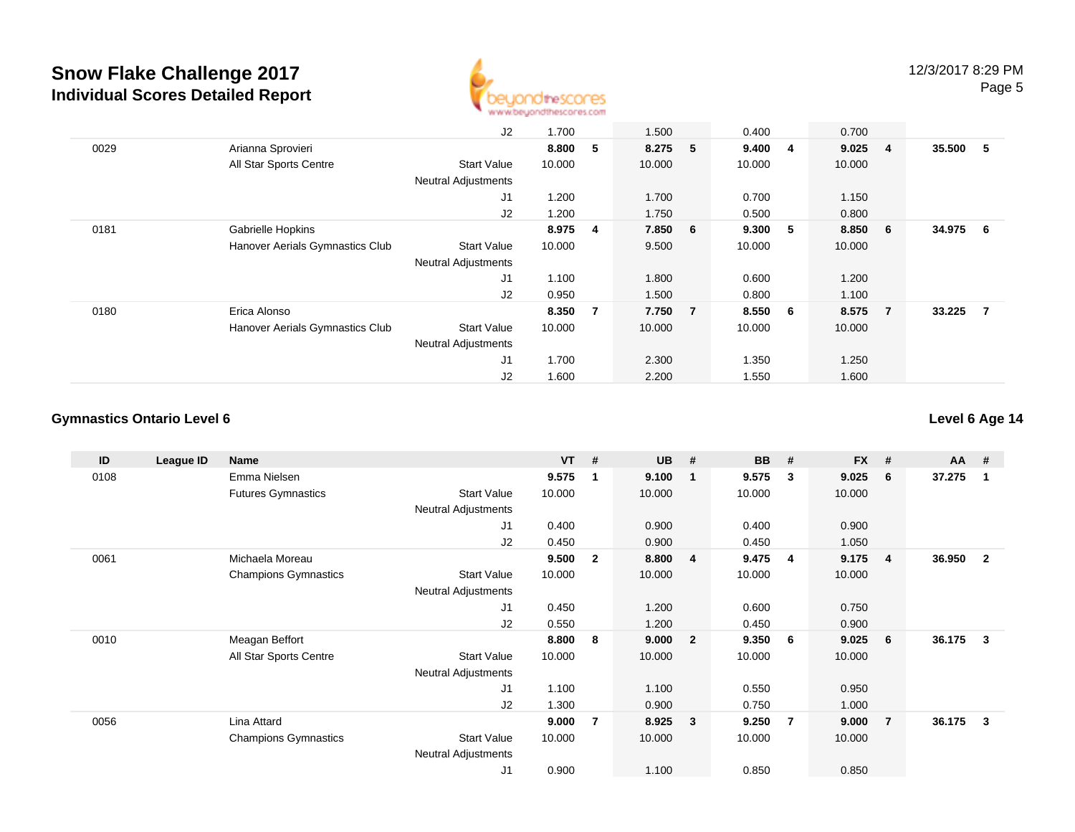

|      |                                 | J2                         | 1.700  |    | 1.500   | 0.400   |   | 0.700  |                |          |                |
|------|---------------------------------|----------------------------|--------|----|---------|---------|---|--------|----------------|----------|----------------|
| 0029 | Arianna Sprovieri               |                            | 8.800  | 5  | 8.275 5 | 9.4004  |   | 9.025  | $\overline{4}$ | 35.500 5 |                |
|      | All Star Sports Centre          | <b>Start Value</b>         | 10.000 |    | 10.000  | 10.000  |   | 10.000 |                |          |                |
|      |                                 | <b>Neutral Adjustments</b> |        |    |         |         |   |        |                |          |                |
|      |                                 | J1                         | 1.200  |    | 1.700   | 0.700   |   | 1.150  |                |          |                |
|      |                                 | J2                         | 1.200  |    | 1.750   | 0.500   |   | 0.800  |                |          |                |
| 0181 | Gabrielle Hopkins               |                            | 8.975  | 4  | 7.850 6 | 9.300   | 5 | 8.850  | 6              | 34.975   | 6              |
|      | Hanover Aerials Gymnastics Club | <b>Start Value</b>         | 10.000 |    | 9.500   | 10.000  |   | 10.000 |                |          |                |
|      |                                 | <b>Neutral Adjustments</b> |        |    |         |         |   |        |                |          |                |
|      |                                 | J1                         | 1.100  |    | 1.800   | 0.600   |   | 1.200  |                |          |                |
|      |                                 | J2                         | 0.950  |    | 1.500   | 0.800   |   | 1.100  |                |          |                |
| 0180 | Erica Alonso                    |                            | 8.350  | -7 | 7.750 7 | 8.550 6 |   | 8.575  | $\overline{7}$ | 33.225   | $\overline{7}$ |
|      | Hanover Aerials Gymnastics Club | <b>Start Value</b>         | 10.000 |    | 10.000  | 10.000  |   | 10.000 |                |          |                |
|      |                                 | <b>Neutral Adjustments</b> |        |    |         |         |   |        |                |          |                |
|      |                                 | J1                         | 1.700  |    | 2.300   | 1.350   |   | 1.250  |                |          |                |
|      |                                 | J2                         | 1.600  |    | 2.200   | 1.550   |   | 1.600  |                |          |                |

#### **Gymnastics Ontario Level 6**

| ID   | League ID | Name                        |                            | <b>VT</b> | #            | <b>UB</b> | #                       | <b>BB</b> | #              | <b>FX</b> | #              | $AA$ # |                |
|------|-----------|-----------------------------|----------------------------|-----------|--------------|-----------|-------------------------|-----------|----------------|-----------|----------------|--------|----------------|
| 0108 |           | Emma Nielsen                |                            | 9.575     | 1            | 9.100     | $\overline{\mathbf{1}}$ | 9.575     | 3              | 9.025     | 6              | 37.275 |                |
|      |           | <b>Futures Gymnastics</b>   | <b>Start Value</b>         | 10.000    |              | 10.000    |                         | 10.000    |                | 10.000    |                |        |                |
|      |           |                             | <b>Neutral Adjustments</b> |           |              |           |                         |           |                |           |                |        |                |
|      |           |                             | J1                         | 0.400     |              | 0.900     |                         | 0.400     |                | 0.900     |                |        |                |
|      |           |                             | J2                         | 0.450     |              | 0.900     |                         | 0.450     |                | 1.050     |                |        |                |
| 0061 |           | Michaela Moreau             |                            | 9.500     | $\mathbf{2}$ | 8.800     | $\overline{4}$          | 9.475     | $\overline{4}$ | 9.175     | 4              | 36.950 | $\overline{2}$ |
|      |           | <b>Champions Gymnastics</b> | <b>Start Value</b>         | 10.000    |              | 10.000    |                         | 10.000    |                | 10.000    |                |        |                |
|      |           |                             | Neutral Adjustments        |           |              |           |                         |           |                |           |                |        |                |
|      |           |                             | J1                         | 0.450     |              | 1.200     |                         | 0.600     |                | 0.750     |                |        |                |
|      |           |                             | J2                         | 0.550     |              | 1.200     |                         | 0.450     |                | 0.900     |                |        |                |
| 0010 |           | Meagan Beffort              |                            | 8.800     | 8            | 9.000     | $\overline{\mathbf{2}}$ | 9.350     | - 6            | 9.025     | 6              | 36.175 | 3              |
|      |           | All Star Sports Centre      | <b>Start Value</b>         | 10.000    |              | 10.000    |                         | 10.000    |                | 10.000    |                |        |                |
|      |           |                             | Neutral Adjustments        |           |              |           |                         |           |                |           |                |        |                |
|      |           |                             | J1                         | 1.100     |              | 1.100     |                         | 0.550     |                | 0.950     |                |        |                |
|      |           |                             | J2                         | 1.300     |              | 0.900     |                         | 0.750     |                | 1.000     |                |        |                |
| 0056 |           | Lina Attard                 |                            | 9.000     | 7            | 8.925     | $\overline{\mathbf{3}}$ | 9.250     | -7             | 9.000     | $\overline{7}$ | 36.175 | 3              |
|      |           | <b>Champions Gymnastics</b> | Start Value                | 10.000    |              | 10.000    |                         | 10.000    |                | 10.000    |                |        |                |
|      |           |                             | <b>Neutral Adjustments</b> |           |              |           |                         |           |                |           |                |        |                |
|      |           |                             | J <sub>1</sub>             | 0.900     |              | 1.100     |                         | 0.850     |                | 0.850     |                |        |                |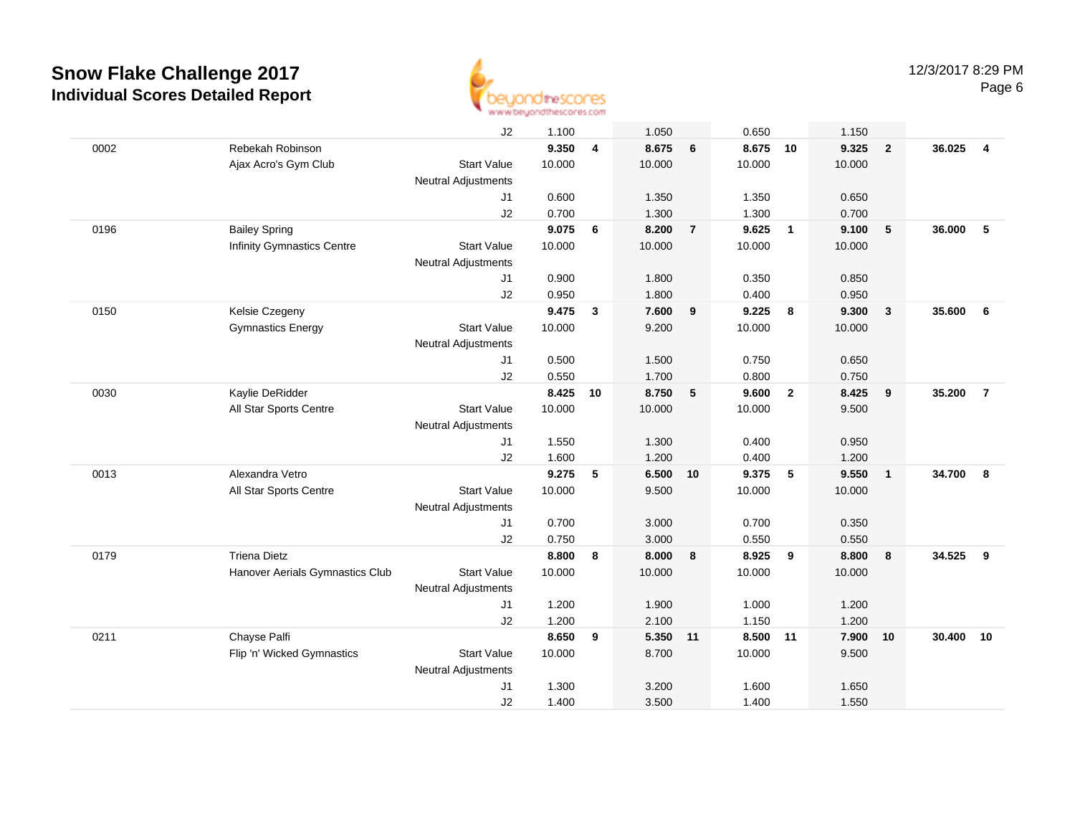

|      |                                 | J2                         | 1.100  |    | 1.050    |                | 0.650    |                         | 1.150  |                |        |                |
|------|---------------------------------|----------------------------|--------|----|----------|----------------|----------|-------------------------|--------|----------------|--------|----------------|
| 0002 | Rebekah Robinson                |                            | 9.350  | 4  | 8.675    | 6              | 8.675    | 10                      | 9.325  | $\overline{2}$ | 36.025 | $\overline{4}$ |
|      | Ajax Acro's Gym Club            | <b>Start Value</b>         | 10.000 |    | 10.000   |                | 10.000   |                         | 10.000 |                |        |                |
|      |                                 | Neutral Adjustments        |        |    |          |                |          |                         |        |                |        |                |
|      |                                 | J1                         | 0.600  |    | 1.350    |                | 1.350    |                         | 0.650  |                |        |                |
|      |                                 | J2                         | 0.700  |    | 1.300    |                | 1.300    |                         | 0.700  |                |        |                |
| 0196 | <b>Bailey Spring</b>            |                            | 9.075  | 6  | 8.200    | $\overline{7}$ | 9.625    | $\overline{\mathbf{1}}$ | 9.100  | 5              | 36,000 | 5              |
|      | Infinity Gymnastics Centre      | <b>Start Value</b>         | 10.000 |    | 10.000   |                | 10.000   |                         | 10.000 |                |        |                |
|      |                                 | <b>Neutral Adjustments</b> |        |    |          |                |          |                         |        |                |        |                |
|      |                                 | J1                         | 0.900  |    | 1.800    |                | 0.350    |                         | 0.850  |                |        |                |
|      |                                 | J2                         | 0.950  |    | 1.800    |                | 0.400    |                         | 0.950  |                |        |                |
| 0150 | Kelsie Czegeny                  |                            | 9.475  | 3  | 7.600    | 9              | 9.225    | 8                       | 9.300  | $\mathbf{3}$   | 35.600 | 6              |
|      | <b>Gymnastics Energy</b>        | <b>Start Value</b>         | 10.000 |    | 9.200    |                | 10.000   |                         | 10.000 |                |        |                |
|      |                                 | <b>Neutral Adjustments</b> |        |    |          |                |          |                         |        |                |        |                |
|      |                                 | J <sub>1</sub>             | 0.500  |    | 1.500    |                | 0.750    |                         | 0.650  |                |        |                |
|      |                                 | J2                         | 0.550  |    | 1.700    |                | 0.800    |                         | 0.750  |                |        |                |
| 0030 | Kaylie DeRidder                 |                            | 8.425  | 10 | 8.750    | 5              | 9.600    | $\overline{2}$          | 8.425  | 9              | 35.200 | $\overline{7}$ |
|      | All Star Sports Centre          | <b>Start Value</b>         | 10.000 |    | 10.000   |                | 10.000   |                         | 9.500  |                |        |                |
|      |                                 | <b>Neutral Adjustments</b> |        |    |          |                |          |                         |        |                |        |                |
|      |                                 | J1                         | 1.550  |    | 1.300    |                | 0.400    |                         | 0.950  |                |        |                |
|      |                                 | J2                         | 1.600  |    | 1.200    |                | 0.400    |                         | 1.200  |                |        |                |
| 0013 | Alexandra Vetro                 |                            | 9.275  | 5  | 6.500    | 10             | 9.375    | $-5$                    | 9.550  | $\overline{1}$ | 34.700 | 8              |
|      | All Star Sports Centre          | <b>Start Value</b>         | 10.000 |    | 9.500    |                | 10.000   |                         | 10.000 |                |        |                |
|      |                                 | <b>Neutral Adjustments</b> |        |    |          |                |          |                         |        |                |        |                |
|      |                                 | J1                         | 0.700  |    | 3.000    |                | 0.700    |                         | 0.350  |                |        |                |
|      |                                 | J2                         | 0.750  |    | 3.000    |                | 0.550    |                         | 0.550  |                |        |                |
| 0179 | <b>Triena Dietz</b>             |                            | 8.800  | 8  | 8.000    | 8              | 8.925    | 9                       | 8.800  | 8              | 34.525 | 9              |
|      | Hanover Aerials Gymnastics Club | <b>Start Value</b>         | 10.000 |    | 10.000   |                | 10.000   |                         | 10.000 |                |        |                |
|      |                                 | <b>Neutral Adjustments</b> |        |    |          |                |          |                         |        |                |        |                |
|      |                                 | J1                         | 1.200  |    | 1.900    |                | 1.000    |                         | 1.200  |                |        |                |
|      |                                 | J2                         | 1.200  |    | 2.100    |                | 1.150    |                         | 1.200  |                |        |                |
| 0211 | Chayse Palfi                    |                            | 8.650  | 9  | 5.350 11 |                | 8.500 11 |                         | 7.900  | 10             | 30.400 | 10             |
|      | Flip 'n' Wicked Gymnastics      | <b>Start Value</b>         | 10.000 |    | 8.700    |                | 10.000   |                         | 9.500  |                |        |                |
|      |                                 | Neutral Adjustments        |        |    |          |                |          |                         |        |                |        |                |
|      |                                 | J <sub>1</sub>             | 1.300  |    | 3.200    |                | 1.600    |                         | 1.650  |                |        |                |
|      |                                 | J2                         | 1.400  |    | 3.500    |                | 1.400    |                         | 1.550  |                |        |                |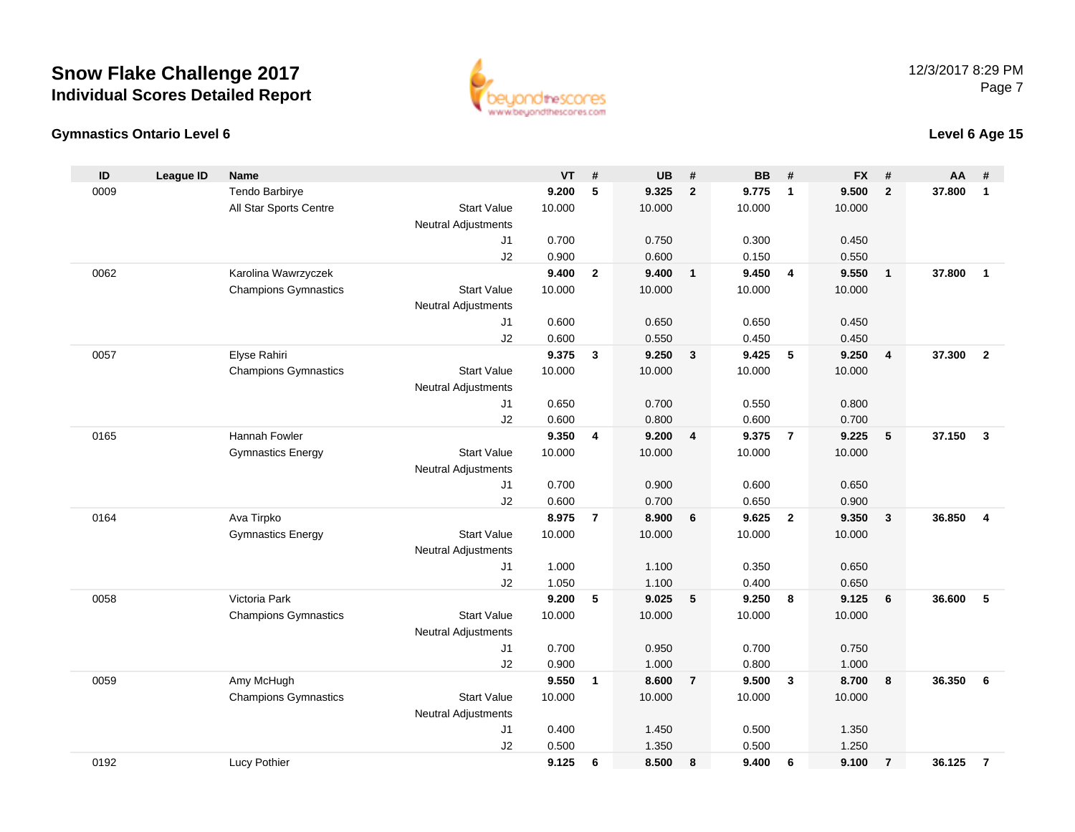

#### **Gymnastics Ontario Level 6**

| $\mathsf{ID}$ | <b>League ID</b> | Name                        |                            | <b>VT</b> | #              | <b>UB</b> | #                          | <b>BB</b> | #              | <b>FX</b> | #              | AA     | #                       |
|---------------|------------------|-----------------------------|----------------------------|-----------|----------------|-----------|----------------------------|-----------|----------------|-----------|----------------|--------|-------------------------|
| 0009          |                  | Tendo Barbirye              |                            | 9.200     | 5              | 9.325     | $\overline{2}$             | 9.775     | $\overline{1}$ | 9.500     | $\overline{2}$ | 37.800 | $\mathbf{1}$            |
|               |                  | All Star Sports Centre      | <b>Start Value</b>         | 10.000    |                | 10.000    |                            | 10.000    |                | 10.000    |                |        |                         |
|               |                  |                             | <b>Neutral Adjustments</b> |           |                |           |                            |           |                |           |                |        |                         |
|               |                  |                             | J1                         | 0.700     |                | 0.750     |                            | 0.300     |                | 0.450     |                |        |                         |
|               |                  |                             | J2                         | 0.900     |                | 0.600     |                            | 0.150     |                | 0.550     |                |        |                         |
| 0062          |                  | Karolina Wawrzyczek         |                            | 9.400     | $\overline{2}$ | 9.400     | $\overline{\phantom{0}}$ 1 | 9.450     | $\overline{4}$ | 9.550     | $\overline{1}$ | 37,800 | $\mathbf{1}$            |
|               |                  | <b>Champions Gymnastics</b> | <b>Start Value</b>         | 10.000    |                | 10.000    |                            | 10.000    |                | 10.000    |                |        |                         |
|               |                  |                             | <b>Neutral Adjustments</b> |           |                |           |                            |           |                |           |                |        |                         |
|               |                  |                             | J1                         | 0.600     |                | 0.650     |                            | 0.650     |                | 0.450     |                |        |                         |
|               |                  |                             | J2                         | 0.600     |                | 0.550     |                            | 0.450     |                | 0.450     |                |        |                         |
| 0057          |                  | Elyse Rahiri                |                            | 9.375     | $\mathbf{3}$   | 9.250     | $\overline{\mathbf{3}}$    | 9.425     | -5             | 9.250     | $\overline{4}$ | 37.300 | $\overline{2}$          |
|               |                  | <b>Champions Gymnastics</b> | <b>Start Value</b>         | 10.000    |                | 10.000    |                            | 10.000    |                | 10.000    |                |        |                         |
|               |                  |                             | <b>Neutral Adjustments</b> |           |                |           |                            |           |                |           |                |        |                         |
|               |                  |                             | J1                         | 0.650     |                | 0.700     |                            | 0.550     |                | 0.800     |                |        |                         |
|               |                  |                             | J2                         | 0.600     |                | 0.800     |                            | 0.600     |                | 0.700     |                |        |                         |
| 0165          |                  | Hannah Fowler               |                            | 9.350     | 4              | 9.200     | $\overline{4}$             | 9.375     | $\overline{7}$ | 9.225     | 5              | 37.150 | $\overline{\mathbf{3}}$ |
|               |                  | <b>Gymnastics Energy</b>    | <b>Start Value</b>         | 10.000    |                | 10.000    |                            | 10.000    |                | 10.000    |                |        |                         |
|               |                  |                             | <b>Neutral Adjustments</b> |           |                |           |                            |           |                |           |                |        |                         |
|               |                  |                             | J1                         | 0.700     |                | 0.900     |                            | 0.600     |                | 0.650     |                |        |                         |
|               |                  |                             | J2                         | 0.600     |                | 0.700     |                            | 0.650     |                | 0.900     |                |        |                         |
| 0164          |                  | Ava Tirpko                  |                            | 8.975     | $\overline{7}$ | 8.900     | 6                          | 9.625     | $\overline{2}$ | 9.350     | $\mathbf{3}$   | 36.850 | 4                       |
|               |                  | <b>Gymnastics Energy</b>    | <b>Start Value</b>         | 10.000    |                | 10.000    |                            | 10.000    |                | 10.000    |                |        |                         |
|               |                  |                             | <b>Neutral Adjustments</b> |           |                |           |                            |           |                |           |                |        |                         |
|               |                  |                             | J1                         | 1.000     |                | 1.100     |                            | 0.350     |                | 0.650     |                |        |                         |
|               |                  |                             | J2                         | 1.050     |                | 1.100     |                            | 0.400     |                | 0.650     |                |        |                         |
| 0058          |                  | Victoria Park               |                            | 9.200     | 5              | 9.025     | 5                          | 9.250     | 8              | 9.125     | 6              | 36.600 | 5                       |
|               |                  | <b>Champions Gymnastics</b> | <b>Start Value</b>         | 10.000    |                | 10.000    |                            | 10.000    |                | 10.000    |                |        |                         |
|               |                  |                             | <b>Neutral Adjustments</b> |           |                |           |                            |           |                |           |                |        |                         |
|               |                  |                             | J1                         | 0.700     |                | 0.950     |                            | 0.700     |                | 0.750     |                |        |                         |
|               |                  |                             | J2                         | 0.900     |                | 1.000     |                            | 0.800     |                | 1.000     |                |        |                         |
| 0059          |                  | Amy McHugh                  |                            | 9.550     | $\mathbf{1}$   | 8.600     | $\overline{7}$             | 9.500     | $\mathbf{3}$   | 8.700     | 8              | 36.350 | 6                       |
|               |                  | <b>Champions Gymnastics</b> | <b>Start Value</b>         | 10.000    |                | 10.000    |                            | 10.000    |                | 10.000    |                |        |                         |
|               |                  |                             | <b>Neutral Adjustments</b> |           |                |           |                            |           |                |           |                |        |                         |
|               |                  |                             | J <sub>1</sub>             | 0.400     |                | 1.450     |                            | 0.500     |                | 1.350     |                |        |                         |
|               |                  |                             | J2                         | 0.500     |                | 1.350     |                            | 0.500     |                | 1.250     |                |        |                         |
| 0192          |                  | Lucy Pothier                |                            | 9.125     | 6              | 8.500     | 8                          | 9.400     | 6              | 9.100     | $\overline{7}$ | 36.125 | $\overline{7}$          |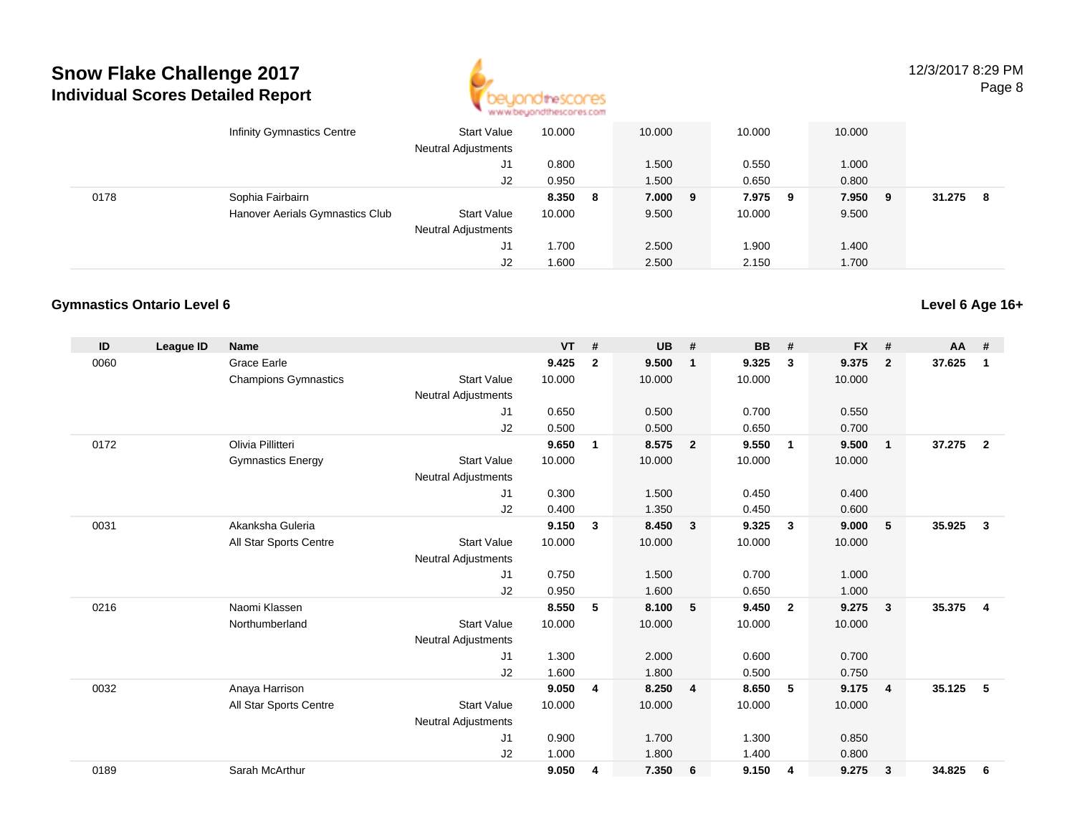

12/3/2017 8:29 PMPage 8

|      | Infinity Gymnastics Centre      | Start Value<br><b>Neutral Adjustments</b> | 10.000 |   | 10.000  | 10.000 |     | 10.000 |   |        |    |
|------|---------------------------------|-------------------------------------------|--------|---|---------|--------|-----|--------|---|--------|----|
|      |                                 | J1                                        | 0.800  |   | 1.500   | 0.550  |     | 1.000  |   |        |    |
|      |                                 | J2                                        | 0.950  |   | 1.500   | 0.650  |     | 0.800  |   |        |    |
| 0178 | Sophia Fairbairn                |                                           | 8.350  | 8 | 7.000 9 | 7.975  | - 9 | 7.950  | 9 | 31.275 | -8 |
|      | Hanover Aerials Gymnastics Club | <b>Start Value</b>                        | 10.000 |   | 9.500   | 10.000 |     | 9.500  |   |        |    |
|      |                                 | <b>Neutral Adjustments</b>                |        |   |         |        |     |        |   |        |    |
|      |                                 | J1                                        | 1.700  |   | 2.500   | 1.900  |     | 1.400  |   |        |    |
|      |                                 | J2                                        | 1.600  |   | 2.500   | 2.150  |     | 1.700  |   |        |    |

#### **Gymnastics Ontario Level 6**

| ID   | League ID | <b>Name</b>                 |                            | <b>VT</b> | #            | <b>UB</b> | #                       | <b>BB</b> | #              | <b>FX</b> | #                       | <b>AA</b> | #              |
|------|-----------|-----------------------------|----------------------------|-----------|--------------|-----------|-------------------------|-----------|----------------|-----------|-------------------------|-----------|----------------|
| 0060 |           | <b>Grace Earle</b>          |                            | 9.425     | $\mathbf{2}$ | 9.500     | $\overline{\mathbf{1}}$ | 9.325     | 3              | 9.375     | $\mathbf{2}$            | 37.625    | 1              |
|      |           | <b>Champions Gymnastics</b> | <b>Start Value</b>         | 10.000    |              | 10.000    |                         | 10.000    |                | 10.000    |                         |           |                |
|      |           |                             | <b>Neutral Adjustments</b> |           |              |           |                         |           |                |           |                         |           |                |
|      |           |                             | J1                         | 0.650     |              | 0.500     |                         | 0.700     |                | 0.550     |                         |           |                |
|      |           |                             | J2                         | 0.500     |              | 0.500     |                         | 0.650     |                | 0.700     |                         |           |                |
| 0172 |           | Olivia Pillitteri           |                            | 9.650     | $\mathbf{1}$ | 8.575     | $\overline{\mathbf{2}}$ | 9.550     | $\overline{1}$ | 9.500     | $\mathbf{1}$            | 37.275    | $\overline{2}$ |
|      |           | <b>Gymnastics Energy</b>    | <b>Start Value</b>         | 10.000    |              | 10.000    |                         | 10.000    |                | 10.000    |                         |           |                |
|      |           |                             | <b>Neutral Adjustments</b> |           |              |           |                         |           |                |           |                         |           |                |
|      |           |                             | J <sub>1</sub>             | 0.300     |              | 1.500     |                         | 0.450     |                | 0.400     |                         |           |                |
|      |           |                             | J2                         | 0.400     |              | 1.350     |                         | 0.450     |                | 0.600     |                         |           |                |
| 0031 |           | Akanksha Guleria            |                            | 9.150     | 3            | 8.450     | $\mathbf{3}$            | 9.325     | $\mathbf{3}$   | 9.000     | 5                       | 35.925    | $\mathbf{3}$   |
|      |           | All Star Sports Centre      | <b>Start Value</b>         | 10.000    |              | 10.000    |                         | 10.000    |                | 10.000    |                         |           |                |
|      |           |                             | <b>Neutral Adjustments</b> |           |              |           |                         |           |                |           |                         |           |                |
|      |           |                             | J1                         | 0.750     |              | 1.500     |                         | 0.700     |                | 1.000     |                         |           |                |
|      |           |                             | J2                         | 0.950     |              | 1.600     |                         | 0.650     |                | 1.000     |                         |           |                |
| 0216 |           | Naomi Klassen               |                            | 8.550     | 5            | 8.100     | 5                       | 9.450     | $\overline{2}$ | 9.275     | $\overline{\mathbf{3}}$ | 35.375    | $\overline{4}$ |
|      |           | Northumberland              | <b>Start Value</b>         | 10.000    |              | 10.000    |                         | 10.000    |                | 10.000    |                         |           |                |
|      |           |                             | <b>Neutral Adjustments</b> |           |              |           |                         |           |                |           |                         |           |                |
|      |           |                             | J1                         | 1.300     |              | 2.000     |                         | 0.600     |                | 0.700     |                         |           |                |
|      |           |                             | J2                         | 1.600     |              | 1.800     |                         | 0.500     |                | 0.750     |                         |           |                |
| 0032 |           | Anaya Harrison              |                            | 9.050     | 4            | 8.250     | $\overline{4}$          | 8.650     | 5              | 9.175     | $\overline{4}$          | 35.125    | 5              |
|      |           | All Star Sports Centre      | <b>Start Value</b>         | 10.000    |              | 10.000    |                         | 10.000    |                | 10.000    |                         |           |                |
|      |           |                             | <b>Neutral Adjustments</b> |           |              |           |                         |           |                |           |                         |           |                |
|      |           |                             | J <sub>1</sub>             | 0.900     |              | 1.700     |                         | 1.300     |                | 0.850     |                         |           |                |
|      |           |                             | J2                         | 1.000     |              | 1.800     |                         | 1.400     |                | 0.800     |                         |           |                |
| 0189 |           | Sarah McArthur              |                            | 9.050     | 4            | 7.350     | 6                       | 9.150     | 4              | 9.275     | 3                       | 34.825    | 6              |
|      |           |                             |                            |           |              |           |                         |           |                |           |                         |           |                |

**Level 6 Age 16+**